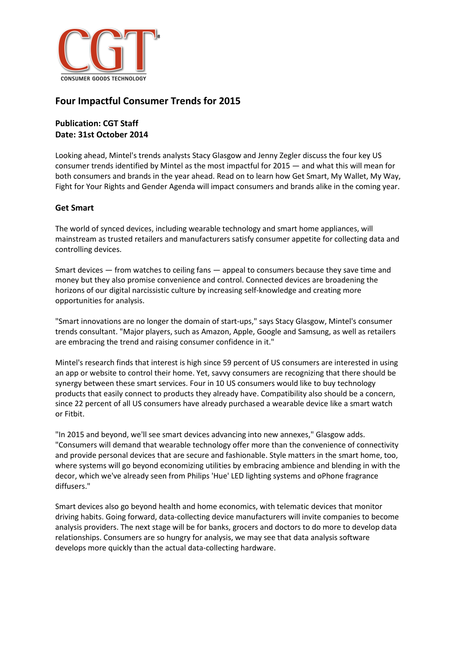

# **Four Impactful Consumer Trends for 2015**

## **Publication: CGT Staff Date: 31st October 2014**

Looking ahead, Mintel's trends analysts Stacy Glasgow and Jenny Zegler discuss the four key US consumer trends identified by Mintel as the most impactful for 2015 — and what this will mean for both consumers and brands in the year ahead. Read on to learn how Get Smart, My Wallet, My Way, Fight for Your Rights and Gender Agenda will impact consumers and brands alike in the coming year.

### **Get Smart**

The world of synced devices, including wearable technology and smart home appliances, will mainstream as trusted retailers and manufacturers satisfy consumer appetite for collecting data and controlling devices.

Smart devices — from watches to ceiling fans — appeal to consumers because they save time and money but they also promise convenience and control. Connected devices are broadening the horizons of our digital narcissistic culture by increasing self-knowledge and creating more opportunities for analysis.

"Smart innovations are no longer the domain of start-ups," says Stacy Glasgow, Mintel's consumer trends consultant. "Major players, such as Amazon, Apple, Google and Samsung, as well as retailers are embracing the trend and raising consumer confidence in it."

Mintel's research finds that interest is high since 59 percent of US consumers are interested in using an app or website to control their home. Yet, savvy consumers are recognizing that there should be synergy between these smart services. Four in 10 US consumers would like to buy technology products that easily connect to products they already have. Compatibility also should be a concern, since 22 percent of all US consumers have already purchased a wearable device like a smart watch or Fitbit.

"In 2015 and beyond, we'll see smart devices advancing into new annexes," Glasgow adds. "Consumers will demand that wearable technology offer more than the convenience of connectivity and provide personal devices that are secure and fashionable. Style matters in the smart home, too, where systems will go beyond economizing utilities by embracing ambience and blending in with the decor, which we've already seen from Philips 'Hue' LED lighting systems and oPhone fragrance diffusers."

Smart devices also go beyond health and home economics, with telematic devices that monitor driving habits. Going forward, data-collecting device manufacturers will invite companies to become analysis providers. The next stage will be for banks, grocers and doctors to do more to develop data relationships. Consumers are so hungry for analysis, we may see that data analysis software develops more quickly than the actual data-collecting hardware.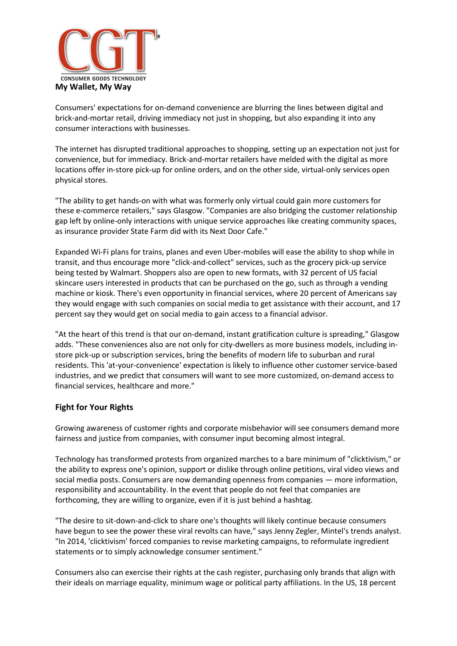

Consumers' expectations for on-demand convenience are blurring the lines between digital and brick-and-mortar retail, driving immediacy not just in shopping, but also expanding it into any consumer interactions with businesses.

The internet has disrupted traditional approaches to shopping, setting up an expectation not just for convenience, but for immediacy. Brick-and-mortar retailers have melded with the digital as more locations offer in-store pick-up for online orders, and on the other side, virtual-only services open physical stores.

"The ability to get hands-on with what was formerly only virtual could gain more customers for these e-commerce retailers," says Glasgow. "Companies are also bridging the customer relationship gap left by online-only interactions with unique service approaches like creating community spaces, as insurance provider State Farm did with its Next Door Cafe."

Expanded Wi-Fi plans for trains, planes and even Uber-mobiles will ease the ability to shop while in transit, and thus encourage more "click-and-collect" services, such as the grocery pick-up service being tested by Walmart. Shoppers also are open to new formats, with 32 percent of US facial skincare users interested in products that can be purchased on the go, such as through a vending machine or kiosk. There's even opportunity in financial services, where 20 percent of Americans say they would engage with such companies on social media to get assistance with their account, and 17 percent say they would get on social media to gain access to a financial advisor.

"At the heart of this trend is that our on-demand, instant gratification culture is spreading," Glasgow adds. "These conveniences also are not only for city-dwellers as more business models, including instore pick-up or subscription services, bring the benefits of modern life to suburban and rural residents. This 'at-your-convenience' expectation is likely to influence other customer service-based industries, and we predict that consumers will want to see more customized, on-demand access to financial services, healthcare and more."

#### **Fight for Your Rights**

Growing awareness of customer rights and corporate misbehavior will see consumers demand more fairness and justice from companies, with consumer input becoming almost integral.

Technology has transformed protests from organized marches to a bare minimum of "clicktivism," or the ability to express one's opinion, support or dislike through online petitions, viral video views and social media posts. Consumers are now demanding openness from companies — more information, responsibility and accountability. In the event that people do not feel that companies are forthcoming, they are willing to organize, even if it is just behind a hashtag.

"The desire to sit-down-and-click to share one's thoughts will likely continue because consumers have begun to see the power these viral revolts can have," says Jenny Zegler, Mintel's trends analyst. "In 2014, 'clicktivism' forced companies to revise marketing campaigns, to reformulate ingredient statements or to simply acknowledge consumer sentiment."

Consumers also can exercise their rights at the cash register, purchasing only brands that align with their ideals on marriage equality, minimum wage or political party affiliations. In the US, 18 percent